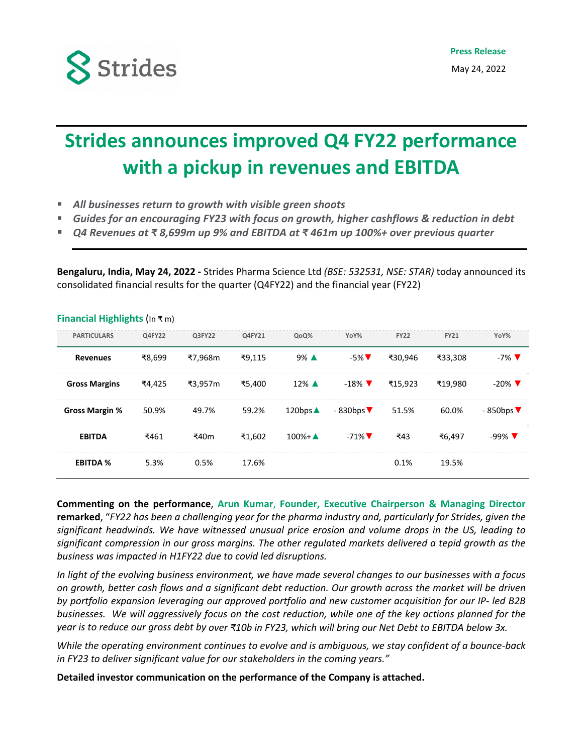

## **Strides announces improved Q4 FY22 performance with a pickup in revenues and EBITDA**

- *All businesses return to growth with visible green shoots*
- *Guides for an encouraging FY23 with focus on growth, higher cashflows & reduction in debt*
- *Q4 Revenues at ₹ 8,699m up 9% and EBITDA at ₹ 461m up 100%+ over previous quarter*

**Bengaluru, India, May 24, 2022 ‐** Strides Pharma Science Ltd *(BSE: 532531, NSE: STAR)* today announced its consolidated financial results for the quarter (Q4FY22) and the financial year (FY22)

| <b>PARTICULARS</b>    | Q4FY22 | Q3FY22  | Q4FY21 | QoQ%                | YoY%                         | <b>FY22</b> | <b>FY21</b> | YoY%                            |
|-----------------------|--------|---------|--------|---------------------|------------------------------|-------------|-------------|---------------------------------|
| <b>Revenues</b>       | ₹8.699 | ₹7.968m | ₹9.115 | $9\%$ $\triangle$   | $-5\%$ $\nabla$              | ₹30.946     | ₹33.308     | $-7\%$ $\blacktriangledown$     |
| <b>Gross Margins</b>  | ₹4,425 | ₹3.957m | ₹5.400 | $12\%$ $\triangle$  | $-18\%$ $\blacktriangledown$ | ₹15.923     | ₹19.980     | $-20\%$ $\nabla$                |
| <b>Gross Margin %</b> | 50.9%  | 49.7%   | 59.2%  | 120bps $\triangle$  | $-830$ bps                   | 51.5%       | 60.0%       | $-850$ bps $\blacktriangledown$ |
| <b>EBITDA</b>         | ₹461   | ₹40m    | ₹1.602 | $100\% + \triangle$ | $-71\%$ $\nabla$             | ₹43         | ₹6.497      | $-99\%$ $\nabla$                |
| <b>EBITDA %</b>       | 5.3%   | 0.5%    | 17.6%  |                     |                              | 0.1%        | 19.5%       |                                 |

## **Financial Highlights** (In ₹ m)

**Commenting on the performance**, **Arun Kumar**, **Founder, Executive Chairperson & Managing Director** remarked, "FY22 has been a challenging year for the pharma industry and, particularly for Strides, given the *significant headwinds. We have witnessed unusual price erosion and volume drops in the US, leading to significant compression in our gross margins. The other regulated markets delivered a tepid growth as the business was impacted in H1FY22 due to covid led disruptions.* 

In light of the evolving business environment, we have made several changes to our businesses with a focus on growth, better cash flows and a significant debt reduction. Our growth across the market will be driven *by portfolio expansion leveraging our approved portfolio and new customer acquisition for our IP‐ led B2B* businesses. We will aggressively focus on the cost reduction, while one of the key actions planned for the year is to reduce our gross debt by over ₹10b in FY23, which will bring our Net Debt to EBITDA below 3x.

While the operating environment continues to evolve and is ambiguous, we stay confident of a bounce-back *in FY23 to deliver significant value for our stakeholders in the coming years."* 

**Detailed investor communication on the performance of the Company is attached.**